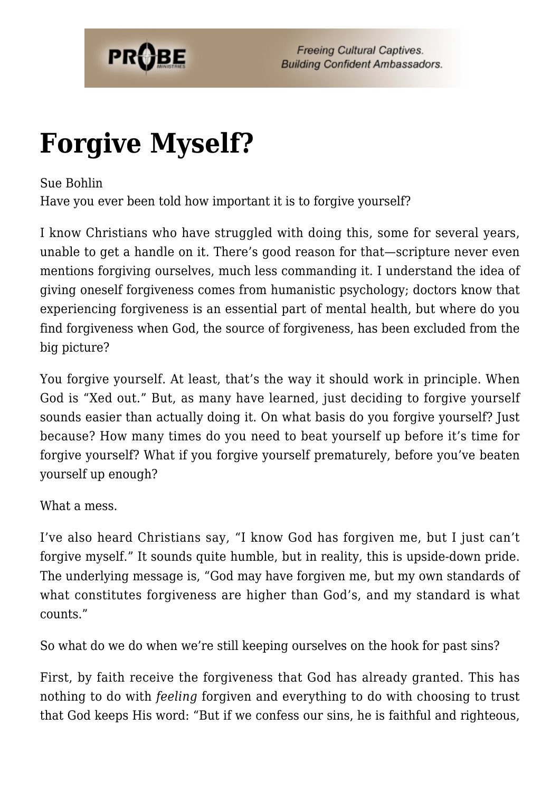

## **[Forgive Myself?](https://probe.org/forgive-myself/)**

Sue Bohlin

Have you ever been told how important it is to forgive yourself?

I know Christians who have struggled with doing this, some for several years, unable to get a handle on it. There's good reason for that—scripture never even mentions forgiving ourselves, much less commanding it. I understand the idea of giving oneself forgiveness comes from humanistic psychology; doctors know that experiencing forgiveness is an essential part of mental health, but where do you find forgiveness when God, the source of forgiveness, has been excluded from the big picture?

You forgive yourself. At least, that's the way it should work in principle. When God is "Xed out." But, as many have learned, just deciding to forgive yourself sounds easier than actually doing it. On what basis do you forgive yourself? Just because? How many times do you need to beat yourself up before it's time for forgive yourself? What if you forgive yourself prematurely, before you've beaten yourself up enough?

What a mess.

I've also heard Christians say, "I know God has forgiven me, but I just can't forgive myself." It sounds quite humble, but in reality, this is upside-down pride. The underlying message is, "God may have forgiven me, but my own standards of what constitutes forgiveness are higher than God's, and my standard is what counts."

So what do we do when we're still keeping ourselves on the hook for past sins?

First, by faith receive the forgiveness that God has already granted. This has nothing to do with *feeling* forgiven and everything to do with choosing to trust that God keeps His word: "But if we confess our sins, he is faithful and righteous,